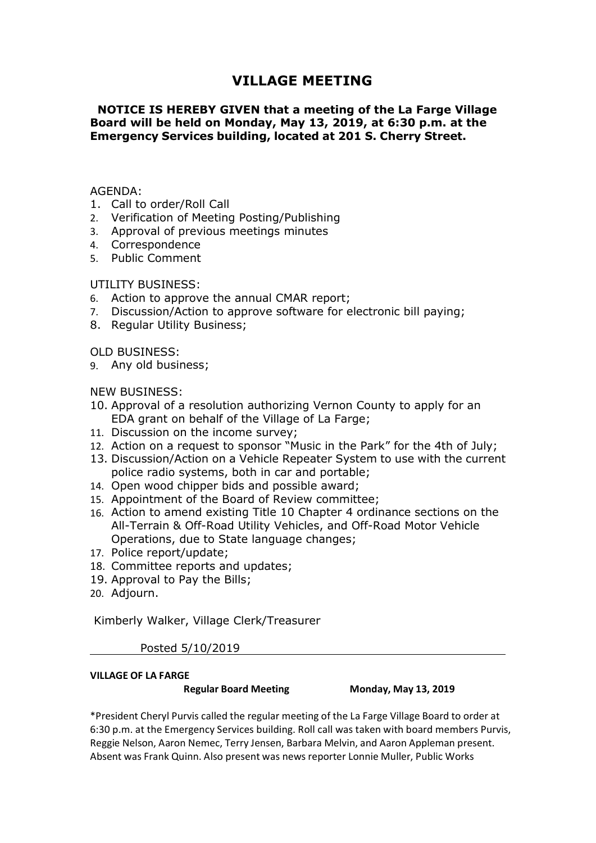# **VILLAGE MEETING<br>IVEN that a meeting of the La Farge Village<br>Ionday, May 13, 2019, at 6:30 p.m. at the<br>ilding, located at 201 S. Cherry Street.** VILLAGE MEETING<br>NOTICE IS HEREBY GIVEN that a meeting of the La Farge Village<br>oard will be held on Monday, May 13, 2019, at 6:30 p.m. at the<br>mergency Services building, located at 201 S. Cherry Street. VILLAGE MEETING<br>Board will be held on Monday, May 13, 2019, at 6:30 p.m. at the<br>Emergency Services building, located at 201 S. Cherry Street. VILLAGE MEETING<br>
NOTICE IS HEREBY GIVEN that a meeting of the La Farge Village<br>
Board will be held on Monday, May 13, 2019, at 6:30 p.m. at the<br>
Emergency Services building, located at 201 S. Cherry Street.<br>
AGENDA: **VILLAGE MEETING<br>
NOTICE IS HEREBY GIVEN that a meeting of the La Farge Village<br>
Board will be held on Monday, May 13, 2019, at 6:30 p.m. at the<br>
Emergency Services building, located at 201 S. Cherry Street.<br>
AGENDA:<br>
1. C VILLAGE MEETING<br>
NOTICE IS HEREBY GIVEN that a meeting of the La Farge Village<br>
Board will be held on Monday, May 13, 2019, at 6:30 p.m. at the<br>
Emergency Services building, located at 201 S. Cherry Street.<br>
AGENDA:<br>
1. C VILLAGE MEETING<br>
NOTICE IS HEREBY GIVEN that a meeting of the La Farge Village<br>
Board will be held on Monday, May 13, 2019, at 6:30 p.m. at the<br>
Emergency Services building, located at 201 S. Cherry Street.<br>
AGENDA:<br>
1. C VILLAGE MEETING**<br> **NOTICE IS HEREBY GIVEN that a meeting of the La Farge Vill<br>
Board will be held on Monday, May 13, 2019, at 6:30 p.m. at the<br>
Emergency Services building, located at 201 S. Cherry Street.<br>
AGENDA:<br>
1. Ca VILLAGE MEETING**<br> **NOTICE IS HEREBY GIVEN that a meeting of the La Farge V**<br> **Board will be held on Monday, May 13, 2019, at 6:30 p.m. at**<br> **Emergency Services building, located at 201 S. Cherry Street.**<br>
AGENDA:<br>
1. Call **VILLAGE MEETING**<br> **NOTICE IS HEREBY GIVEN that a meeting of the La Farge Village**<br> **Board will be held on Monday, May 13, 2019, at 6:30 p.m. at the<br>
Emergency Services building, located at 201 S. Cherry Street.<br>
AGENDA:<br> VILLAGE MEETING<br>
NOTICE IS HEREBY GIVEN that a meeting of the La Farge Village<br>
Board will be held on Monday, May 13, 2019, at 6:30 p.m. at the<br>
Emergency Services building, located at 201 S. Cherry Street.<br>
1. Call to or VILLAGE MEETING**<br> **NOTICE IS HEREBY GIVEN that a meeting of the La Farge Village**<br> **Board will be held on Monday, May 13, 2019, at 6:30 p.m. at the<br>
Emergency Services building, located at 201 S. Cherry Street.<br>
AGENDA:<br> NOTICE IS HEREBY GIVEN that a meeting of the La Farg**<br> **Board will be held on Monday, May 13, 2019, at 6:30 p.m.**<br> **Emergency Services building, located at 201 S. Cherry Stremergency Services building, located at 201 S. C NOTICE IS HEREBY GIVEN that a meeting of the La Farge Villa,<br>
Board will be held on Monday, May 13, 2019, at 6:30 p.m. at the<br>
Emergency Services building, located at 201 S. Cherry Street.<br>
1. Call to order/Roll Call<br>
2.**

## AGENDA:

- 
- 
- 
- 4. Correspondence
- 

- 
- 
- 

- Emergency Services building, located at 201 S. Cherry Stre<br>
Emergency Services building, located at 201 S. Cherry Stre<br>
1. Call to order/Roll Call<br>
2. Verification of Meeting Posting/Publishing<br>
4. Correspondence<br>
5. Publi Einergency services sumanny, rocated at 201.5. enterry street.<br>
1. Call to order/Roll Call<br>
2. Verification of Meeting Posting/Publishing<br>
3. Approval of previous meetings minutes<br>
5. Public Comment<br>
5. Public Comment<br>
UTI
- 
- 
- ENDA:<br>Call to order/Roll Call<br>Verification of Meeting Posting/Publishing<br>Approval of previous meetings minutes<br>Correspondence<br>Public Comment<br>Hation to approve the annual CMAR report;<br>Discussion/Action to approve software f AGENDA:<br>
1. Call to order/Roll Call<br>
2. Verification of Meeting Posting/Publishing<br>
3. Approval of previous meetings minutes<br>
4. Correspondence<br>
5. Public Comment<br>
1. Correspondence<br>
5. Public Comment<br>
7. Discussion/Action AGENDA:<br>
1. Call to order/Roll Call<br>
2. Verification of Meeting Posting/Publishing<br>
3. Approval of previous meetings minutes<br>
5. Public Comment<br>
UTILITY BUSINESS:<br>
6. Action to approve the annual CMAR report;<br>
1. Discussio Natura<br>
21. Call to order/Roll Call<br>
2. Verification of Meeting Posting/Publishing<br>
3. Approval of previous meetings minutes<br>
5. Public Comment<br>
6. Action to approve the annual CMAR report;<br>
7. Discussion/Action to approve
- 
- 
- Car to order you can<br>verification of Meeting Posting/Publishing<br>Approval of previous meetings minutes<br>Correspondence<br>Public Comment<br>Hulls Comment<br>Action to approve the annual CMAR report;<br>Discussion/Action to approve softw 2. Ventradion or recentry rosultigy rounsining<br>
3. Approval of previous meetings minutes<br>
14. Correspondence<br>
17. UILTY BUSINESS:<br>
6. Action to approve the annual CMAR report;<br>
7. Discussion/Action to approve software for 5. Public Comment<br>
4. Correspondence<br>
5. Public Comment<br>
5. Public Comment<br>
6. Action to approve the annual CMAR report;<br>
7. Discussion/Action to approve software for electronic bill paying;<br>
8. Regular Utility Business;<br> 4. Conespondented Units (Solid Comment<br>
5. Public Comment<br>
16. Action to approve the annual CMAR report;<br>
16. Actions to approve the annual CMAR report;<br>
8. Regular Utility Business;<br>
9. Any old business;<br>
9. Any old busin Framic Comment<br>Action to approve the annual CMAR report;<br>Action to approve software for electronic bill paying;<br>Regular Utility Business;<br>Regular Utility Business;<br>Any old business;<br>Approval of a resolution authorizing Ver LITY BUSINESS:<br>
Action to approve the annual CMAR report;<br>
Discussion/Action to approve software for electronic bill paying;<br>
Discussion/Action to approve software for electronic bill paying;<br>
Regular Utility Business;<br>
An of the Action to approve the annual CMAR report;<br>
7. Discussion/Action to approve software for electronic bill paying;<br>
7. Discussion/Action to approve software for electronic bill paying;<br>
8. Regular Utility Business;<br>
9. Committee and the annual change committee entropy<br>18. Discussion/Action to approve software for electronic bill paying;<br>
8. Regular Utility Business;<br>
9. Any old business;<br>
10. Approval of a resolution authorizing Vernon C 7. Discussion/Action to approve solitional to electrofic Din paying,<br>
8. Regular Utility Business;<br>
9. Any old business;<br>
10. Approval of a resolution authorizing Vernon County to apply for an<br>
EDA grant on behalf of the V EV BUSINESS;<br>
A. Any old business;<br>
A. Any old business;<br>
0. Approval of a resolution authorizing Vernon County to apply for an<br>
EDA grant on behalf of the Village of La Farge;<br>
1. Discussion An en equest to sponsor "Music SINESS:<br>
SiNESS:<br>
Sine of a resolution authorizing Vernon County to apply for an<br>
Signant on behalf of the Village of La Farge;<br>
Sission on the income survey;<br>
n on a request to sponsor "Music in the Park" for the 4th of J
- 
- 
- 
- 20. Adjourn.

11. Discussion on the income survey;<br>
12. Action on a request to sponsor "Music in the Park" for the 4th of Jul<br>
13. Discussion/Action on a Vehicle Repeater System to use with the curr<br>
13. Discussion/Action on a Vehicle R equest to sponsor "Music in the Park" for the 4th of July;<br>ction on a Vehicle Repeater System to use with the current<br>tystems, both in car and portable;<br>hipper bids and possible award;<br>of the Board of Review committee;<br>of police radio systems, both in car and portable;<br>
15. Oppointment of the Board of Review committee;<br>
16. Acpointment of the Board of Review committee;<br>
16. Action to amend existing Tittle 10 Chapter 4 ordinance sections on 14. Open wood chipper bids and possible award;<br>
15. Appointment of the Board of Review committee;<br>
16. Action to amend existing Title 10 Chapter 4 ordinance sections on the<br>
All-Terrain & Off-Road Utility Vehicles, and Off 15. Appointment of the Board of Review committee;<br>
16. Action to amend existing Title 10 Chapter 4 ordinance sections on the<br>
All-Terrain & Off-Road Utility Vehicles, and Off-Road Motor Vehicle<br>
17. Police report/update;<br> 16. Action to amend existing Title 10 Chapter 4 ordinance sections on the<br>
All-Terrain & Off-Road Utitlity Vehicles, and Off-Road Motor Vehicle<br>
20 Operations, due to State language changes;<br>
18. Committee reports and upda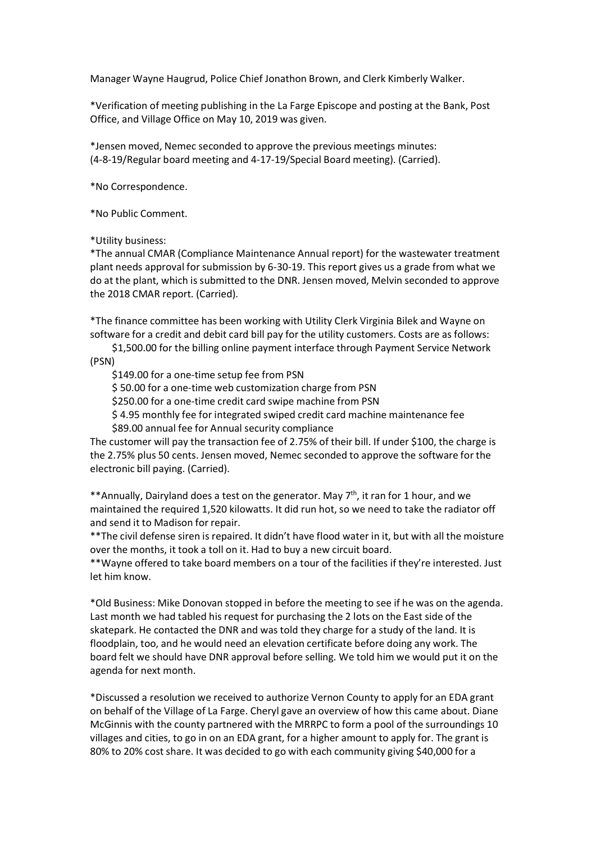Manager Wayne Haugrud, Police Chief Jonathon Brown, and Clerk Kimberly Walker.<br>\*Verification of meeting publishing in the La Farge Episcope and posting at the Bank, Post<br>Office, and Village Office on May 10, 2019 was given Manager Wayne Haugrud, Police Chief Jonathon Brown, and Clerk Kimberly Walker.<br>\*Verification of meeting publishing in the La Farge Episcope and posting at the Bank, Post<br>Office, and Village Office on May 10, 2019 was given Manager Wayne Haugrud, Police Chief Jonathon Brown, and Clerk Kimberly Walker.<br>\*Verification of meeting publishing in the La Farge Episcope and posting at the Bank, Post<br>Office, and Village Office on May 10, 2019 was given Manager Wayne Haugrud, Police Chief Jonathon Brown, and Clerk Kimberly Walker.<br>\*Verification of meeting publishing in the La Farge Episcope and posting at the Bank, Post<br>Office, and Village Office on May 10, 2019 was given Manager Wayne Haugrud, Police Chief Jonathon Brown, and Clerk Kimberly Walker.<br>\*Verification of meeting publishing in the La Farge Episcope and posting at the Bank, Post<br>Office, and Village Office on May 10, 2019 was given Manager Wayne Haugrud, Police Chief Jonathon Brown, and Clerk Kimberly W<br>\*Verification of meeting publishing in the La Farge Episcope and posting at the<br>Office, and Village Office on May 10, 2019 was given.<br>\*Jensen moved,

Manager Wayne Haugrud, Police Chief Jonathon Brown, and Clerk Kimberly Walker.<br>
\*Verification of meeting publishing in the La Farge Episcope and posting at the Bank,<br>
Office, and Village Office on May 10, 2019 was given.<br> Manager Wayne Haugrud, Police Chief Jonathon Brown, and Clerk Kimberly Walk<br>\*Verification of meeting publishing in the La Farge Episcope and posting at the Ba<br>office, and Village Office on May 10, 2019 was given.<br>\*Jensen m Nanager Wayne Haugrud, Police Chief Jonathon Brown, and Clerk Kimberly Walker.<br>"Verification of meeting publishing in the La Farge Episcope and posting at the Bank, Post<br>Office, and Village Office on May 10, 2019 was given Manager Wayne Haugrud, Police Chief Jonathon Brown, and Clerk Kimberly Walker.<br>"Verification of meeting publishing in the La Farge Episcope and posting at the Bank, Post<br>Office, and Village Office on May 10, 2019 was given Manager Wayne Haugrud, Police Chief Jonathon Brown, and Clerk Kimberly Walker.<br>\*Verification of meeting publishing in the La Farge Episcope and posting at the Bank, Post<br>office, and Village Office on May 10, 2019 was given Manager Wayne Haugrud, Police Chief Jonathon Brown, and Clerk Kimberly Walker.<br>\*Verification of meeting publishing in the La Farge Episcope and posting at the Bank, Post<br>Office, and Village Office on May 10, 2019 was given Manager Wayne Haugrud, Police Chief Jonathon Brown, and Clerk Kimberly Walker.<br>\*Verification of meeting publishing in the La Farge Episcope and posting at the Bank, Post<br>Office, and Village Office on May 10, 2019 was given "Verification of meeting publishing in the La Farge Episcope and posting at the Bank, Post<br>
"Verification of meeting publishing in the La Farge Episcope and posting at the Bank, Post<br>
"Iensen moved, Nemet seconded to appro ification of meeting publishing in the La Farge Episcope and posting at the Bank, Post<br>e, and Village Office on May 10, 2019 was given.<br>Ser moved, Nemec seconded to approve the previous meetings minutes:<br>19/Regular board m 2, and the setup for a state of the proposer of the customer will pay the customer will pay the customer will pay the transition for the wastewater treatment and A19. (Scriber). Correspondence.<br>
Public Comment.<br>
Ity busine sen moved, Nemec seconded to approve the previous meetings minutes:<br>19/Regular board meeting and 4-17-19/Special Board meeting). (Carried).<br>Correspondence.<br>Public Comment.<br>Hy business:<br>a annual CMAR (Compliance Maintenance 19/Regular board meeting and 4-17-19/Special Board meeting). (Carried).<br>19/Regular board meeting and 4-17-19/Special Board meeting). (Carried).<br>
Correspondence.<br>
Public Comment.<br>
Irity business:<br>
Irity business:<br>
Irity bus Expression Comment.<br>
Expression Comment.<br>
Hy business:<br>
annual CMAR (Compliance Maintenance Annual report) for the wastewater treatment<br>
reads approval for submission by 6-30-19. This report gives us a grade from what we<br> Correspondence.<br>
Public Comment.<br>
Hy business:<br>
annual CMAR (Compliance Maintenance Annual report) for the wastewater treatment<br>
rete glant, which is submitted to the DNR. Jensen moved, Melvin seconded to approve<br>
OIS CMAR \*No Public Comment.<br>
\*Utility businss:<br>
\*The annual CMAR (Compliance Maintenance Annual report) for the wastewater treatment<br>
\*The annual CMAR (Compliance Maintenance Annual report) gives us a grade from what we<br>
do at th \*No Public Comment.<br>
\*Utility business:<br>
\*The annual CMAR (Compliance Maintenance Annual report) for the wastewater treatment<br>
#plant needs approxid for submission by 6-30-19. This report gives us a grade from what we<br>
do \*Utility business.<br>
\*Utility business:<br>
\*Utility business:<br>
\*Thie annual CMAR (Compliance Maintenance Annual report) for the wastewater treatment<br>
\*Inhe annual CMAR report for submitted to the DNR. Jensen moved, Melvin se \*The annual CMAR (Compliance Maintenance Annual report) for the wastewater treatment<br>plant needs approval for submission by 6-30-19. This report gives us a grade from what we<br>do at the plant, which is submitted to the DNR. plant needs approval for submission by 6-30-19. This report gives us a grade from what we<br>do at the plant, which is submitted to the DNR. Jensen moved, Melvin seconded to approve<br>the 2018 CMAR report. (Carried).<br>
\*The fina

(PSN)

to at the plant, which is submitted to the DNR. Jensen moved, Melvin seconded to approve<br>the 2018 CMAR report. (Carried).<br>
\*The finance committee has been working with Utility Clerk Virginia Bilek and Wayne on<br>
software f the 2018 CMAR report. (Carried).<br>
The finance committee has been working with Utility Clerk Virginia Bilek and Wayne on<br>
software for a credit and debit card bill pay for the utility customers. Costs are as follows:<br>
\$1,50 **The finance committee has been working with Utility Clerk Virginia Bilek and Wayne on software for a credit and debit card bill pay for the utility customers. Costs are as follows:<br>
\$1,500.00 for the billing online paymen** 

\*The finance committee has been working with Utility Clerk Virginia Bilek and Wayne on<br>software for a credit and debit card bill pay for the utility customers. Costs are as follows:<br>\$1,500.00 for the billing online payment Software for a credit and debit card bill pay for the utility customers. Costs are as<br>
\$1,500.00 for the billing online payment interface through Payment Service<br>
(PSN)<br>
\$1,500.00 for a one-time setup fee from PSN<br>
\$149.00 (PSN)<br>
\$14.90 for a one-time setup fee from PSN<br>
\$15.000 for a one-time setup fee from PSN<br>
\$15.000 for a one-time setup fee from PSN<br>
\$25.0.00 for a one-time setup fee from PSN<br>
\$25.0.00 for a one-time setup fee from PSN CAST 1000 Control and the setup fee from PSN<br>
S 5.0.00 for a one-time we hustomization charge from PSN<br>
S 25.00 for a one-time we hustomization charge from PSN<br>
S 4.95 monthly fee for integrated swiped credit card machine s 50.00 for a one-time web customization charge from PSN<br>\$25.00 for a one-time recelit card swipe machine from PSN<br>4.9.5 monthly fee for integrated swiped credit card machine maintenance fee<br>58.9.00 annual fee for Annual 5250.00 for a one-time credit card swipe machine from PSN<br>54.55 monthly fee for integrated swiped credit card machine maintenance fee<br>58.00 annual fee for Annual security compliance<br>The customer will pay the transaction f \$ 4.95 monthly fee for integrated swiped credit card machine maintenance fee<br>the statom annual fee for Annual security compliance<br>the customer will pay the transaction fee of 2.75% of their bill. If under \$100, the charge S89.00 annual fee for Annual security compliance<br>
The customer will pay the transaction fee of 2.75% of their bill. If under \$100, the charge is<br>
the 2.75% plus SO cents. Iensen moved, Nemec seconded to approve the softwar the 2.75% plus 50 cents. Iensen moved, Nemec seconded to approve the software for the electronic bill paying. (Carried).<br>\*\*Annually, Dairyland does a test on the generator. May 7<sup>th</sup>, it ran for 1 hour, and we the software on the Village of the Village of the Targe. Cheryl gave an overview of the Village state of the Village of the Village of the Cheryl gave and the Cheryl gave and the Cheryl gave and the Cheryl and the Matison for the Targe **\*\*Annually, Dairyland does a test on the generator.** May 7<sup>n</sup>, it ran for 1 hour, and we **\*\***annually, Dairyland does a test on the generator. May 7<sup>n</sup>, it ran for 1 hour, and we maintained the required 1,520 kilowatts. \*\*Annually, Dairyland does a test on the generator. May 7<sup>10</sup>; it ran for 1 hour, and we maintained the required 1,520 kilowatts. It did run hot, so we need to take the radiator off and saend it to Madison for repair.<br>\*\*Th maintained the required 1,520 kilowatts. It did run hot, so we need to take the radiator off<br>and send it to Madison for repair.<br>
\*\*The civil defiens esime is repaired. It didn't have flood water in it, but with all the moi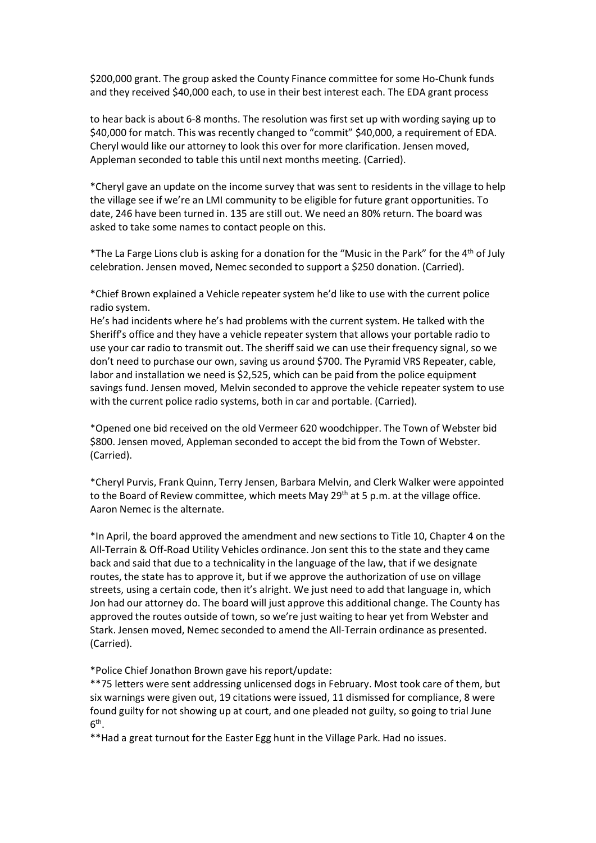\$200,000 grant. The group asked the County Finance committee for some Ho-Chunk funds<br>and they received \$40,000 each, to use in their best interest each. The EDA grant process<br>to hear back is about 6-8 months. The resolutio \$200,000 grant. The group asked the County Finance committee for some Ho-Chunk funds<br>and they received \$40,000 each, to use in their best interest each. The EDA grant process<br>to hear back is about 6-8 months. The resolutio \$200,000 grant. The group asked the County Finance committee for some Ho-Chunk funds<br>and they received \$40,000 each, to use in their best interest each. The EDA grant process<br>to hear back is about 6-8 months. The resolutio \$200,000 grant. The group asked the County Finance committee for some Ho-Chunk funds<br>and they received \$40,000 each, to use in their best interest each. The EDA grant process<br>to hear back is about 6-8 months. The resolutio \$200,000 grant. The group asked the County Finance committee for some Ho-Chunk funds<br>and they received \$40,000 each, to use in their best interest each. The EDA grant process<br>to hear back is about 6-8 months. The resolutio

\$200,000 grant. The group asked the County Finance committee for some Ho-Chunk funds<br>and they received \$40,000 each, to use in their best interest each. The EDA grant process<br>to hear back is about 6-8 months. The resolutio \$200,000 grant. The group asked the County Finance committee for some Ho-Chunk funds<br>and they received \$40,000 each, to use in their best interest each. The EDA grant process<br>to hear back is about 6-8 months. The resoluti \$200,000 grant. The group asked the County Finance committee for some Ho-Chunk funds<br>and they received \$40,000 each, to use in their best interest each. The EDA grant process<br>to hear back is about 6-8 months. The resoluti 5200,000 grant. The group asked the County Finance committee for some Ho-Chunk funds<br>and they received \$40,000 each, to use in their best interest each. The EDA grant process<br>to hear back is about 6-8 months. The resoluti \$200,000 grant. The group asked the County Finance committee for some Ho-Chunk funds<br>and they received \$40,000 each, to use in their best interest each. The EDA grant process<br>to hear back is about 6-8 months. The resoluti \$200,000 grant. The group asked the County Finance committee for some Ho-Chunk funds<br>and they received \$40,000 each, to use in their best interest each. The EDA grant process<br>to hear back is about 6-8 months. The resoluti \$200,000 grant. The group asked the County Finance committee for some Ho-Chunk funds<br>and they received \$40,000 each, to use in their best interest each. The EDA grant process<br>to hear back is about 6-8 months. The resolutio

\$200,000 grant. The group asked the County Finance committee for some Ho-Chunk funds<br>and they received \$40,000 each, to use in their best interest each. The EDA grant process<br>to hear back is about 6-8 months. The resoluti \$200,000 grant. The group asked the County Finance committee for some Ho-<br>and they received \$40,000 each, to use in their best interest each. The EDA gra<br>to hear back is about 6-8 months. The resolution was first set up wi \$200,000 grant. The group asked the County Finance committee for some Ho-Chunk funds<br>and they received \$40,000 each, to use in their best interest each. The EDA grant process<br>to hear back is about 6-8 months. The resolutio and they received \$40,000 each, to use in their best interest each. The EDA grant process<br>to hear back is about 6-8 months. The resolution was first set up with wording saying up to<br>\$40,000 for match. This was recently cha end to transmit the exerct of the method was first set up with version of the paid and paid was first set up with version of radiation of radiation of the S40,000 for match. This was recently changed to "commit" \$40,000, a to hear back is about 6-8 months. The resolution was first set up with wording saying up to \$40,000 for match. This was recently changed to "commit" \$40,000, a requirement of EDA.<br>Cheryl would like our attorney to look thi \$40,000 for match. This was recently changed to "commit" \$40,000, a requirement of EDA.<br>Cheryl would like our attomey to look this over for more clarification. Jensen moved,<br>Appleman seconded to table this until next month Cheryl would like our attomey to look this over for more clarification. Jensen moved, Appleman seconded to table this until next months meeting. (Carried).<br>
"Cheryl gave an update on the income survey that was sent to res Appleman seconded to table this until next months meeting. (Carried).<br>
"Cheryl gave an update on the income survey that was sent to residents in the village to help<br>
the village see if we're an LMI community to be eligible \*Cheryl gave an update on the income survey that was sent to residents in the village to help<br>the village see if we're an LMI community to be eligible for future grant opportunities. To<br>date, 246 have been turned in. 135 a the village see if we're an LMI community to be eligible for future grant opportunities. To<br>the village see if we're an LMI community to be eligible for future grant opportunities. To<br>asked to take some names to contact pe \*The La Farge Lions club is asking for a dronation for the "Music in the Park" for the 4<sup>2h</sup> of July<br>
\*Cheleration. Jensen moved, Nemec seconded to support a \$250 donation. (Carried).<br>
\*Chief Brown explained a Vehicle rep \*The La Farge Lions club is asking for a donation for the "Music in the Park" for the 4<sup>2h</sup> of July<br>celebration. Jensen moved, Nemec seconded to support a \$250 donation. (Carried).<br>\*Chief Brown explained a Vehicle repeater cleared one hid received on the old Vermeer 620 woodchips. The alternate who back and state and the back and state the alternate of the alternate of the alternative of the alternative of the alternative of the alternative \*Chief Brown explained a Vehicle repeater system he'd like to use with the current police<br>radio system.<br>He's had incidents where he's had problems with the current system. He talked with the<br>Sheriff's office and they have

(Carried).

radio system.<br>
Yardio system.<br>
He's had incidents where he's had problems with the current system. He talked with the<br>
He's had incidents sheriff's office and they have a vehicle repeater system that allows your portable r He's had incidents where he's had problems with the current system. He talked with the Heriff's office and they have a vehicle repeater system that allows your cortable radio to shorff's office and they have an use their f Sheriff's office and they have a vehicle repeater system that allows your portable radio to some very rear araio to transmit out. The sheriff said we can use their frequency signal, so we selve your car araio to transmit o streets, using a certain code, then it's alright. We just need to add that language in, which approved the purchase our own, saving us a round \$700. The Pyramid VRS Repeater, cable, door 'n eed to purchase our own, saving don't need to purchase our own, saving us around \$700. The Pyramid VRS Repeater, cable, about an installation we need is 52,525, which can be paid from the police equipment slavings fund. Jensen moved, Melvin seconded to a abor and installation we need is \$2,525, which can be paid from the police equipment<br>abor and installation we need is \$2,525, which can be paid from the police equipment<br>awing fund. Lensen moved, Melvin seconded to approve savings fund. Jensen moved, Melvin seconded to approve the vehicle repeater system to use<br>with the current police radio systems, both in car and portable. (Carried).<br>
"Opened one bid received on the old Vermeer 620 woodchi (Carried). \*Opened one bid received on the old Vermeer 620 woodchipper. The Town of Webster bid<br>(Carried).<br>(Carried).<br>(Carried).<br>
\*Cheryl Purvis, Frank Quinn, Terry Jensen, Barbara Melvin, and Clerk Walker were appointed<br>
to the Boar \$800. Jensen moved, Appleman seconded to accept the bid from the Town of Webster.<br>(Carried).<br>"Cheryl Purvis, Frank Quinn, Terry Jensen, Barbara Melvin, and Clerk Walker were appointed<br>Carried).<br>"Cheryl Purvis, Frank Quinn, Carried).<br>
Charried).<br>
"Cheryl Purvis, Frank Quinn, Terry Jensen, Barbara Melvin, and Clerk Walker were appointed<br>
to the Board of Review committee, which meets May 29<sup>th</sup> at 5 p.m. at the village office.<br>
Aaron Nemec is t **Example 19**<br> **Constraint the Sourt of Review committee**, which meets May 29<sup>th</sup> at 5 p.m. at the village office.<br>
Aaron Nemec is the alternate.<br>
Aaron Nemec is the alternate.<br>
<sup>\*</sup>In April, the board approved the amendment to the Board of Review committee, which meets May 29<sup>m</sup> at 5 p.m. at the village office.<br>Aaron Nemec is the alternate.<br>Aaron Nemec is the alternate.<br>The April, the board approved the amendment and new sections to Title 10,

 $6<sup>th</sup>$ . the contract of the contract of the contract of the contract of the contract of the contract of the contract of the contract of the contract of the contract of the contract of the contract of the contract of the contract o